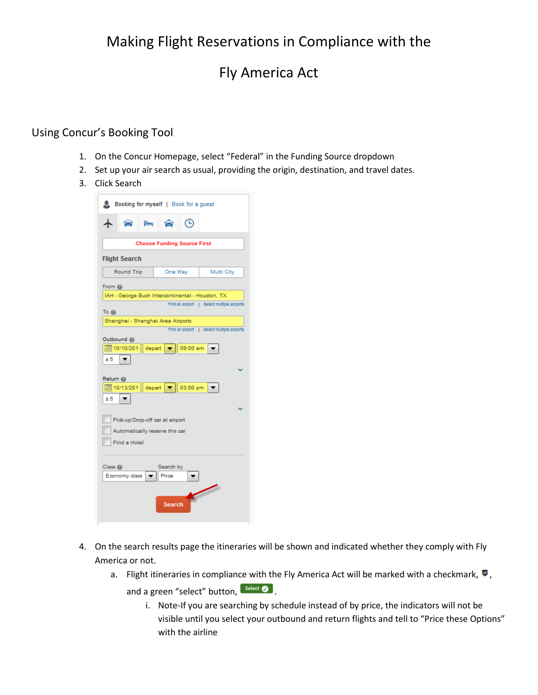# Making Flight Reservations in Compliance with the

# Fly America Act

#### Using Concur's Booking Tool

- 1. On the Concur Homepage, select "Federal" in the Funding Source dropdown
- 2. Set up your air search as usual, providing the origin, destination, and travel dates.
- 3. Click Search

| Booking for myself   Book for a quest                                                                 |  |  |  |  |  |  |  |
|-------------------------------------------------------------------------------------------------------|--|--|--|--|--|--|--|
| ╋                                                                                                     |  |  |  |  |  |  |  |
| <b>Choose Funding Source First</b>                                                                    |  |  |  |  |  |  |  |
| <b>Flight Search</b>                                                                                  |  |  |  |  |  |  |  |
| Round Trip<br>One Way<br>Multi City                                                                   |  |  |  |  |  |  |  |
| From @                                                                                                |  |  |  |  |  |  |  |
| IAH - George Bush Intercontinental - Houston, TX                                                      |  |  |  |  |  |  |  |
| Find an airport   Select multiple airports<br>To @                                                    |  |  |  |  |  |  |  |
| Shanghai - Shanghai Area Airports                                                                     |  |  |  |  |  |  |  |
| $    $ 10/10/201<br>09:00 am<br>depart<br>± 5<br>Return @<br>03:00 pm<br>田 10/13/201<br>depart<br>± 5 |  |  |  |  |  |  |  |
| Pick-up/Drop-off car at airport<br>Automatically reserve this car<br>Find a Hotel                     |  |  |  |  |  |  |  |
| Class <sub>o</sub><br>Search by<br>Economy class<br>Price<br>Search                                   |  |  |  |  |  |  |  |

- 4. On the search results page the itineraries will be shown and indicated whether they comply with Fly America or not.
	- a. Flight itineraries in compliance with the Fly America Act will be marked with a checkmark,  $\bullet$ ,
		- and a green "select" button, select **O** 
			- i. Note-If you are searching by schedule instead of by price, the indicators will not be visible until you select your outbound and return flights and tell to "Price these Options" with the airline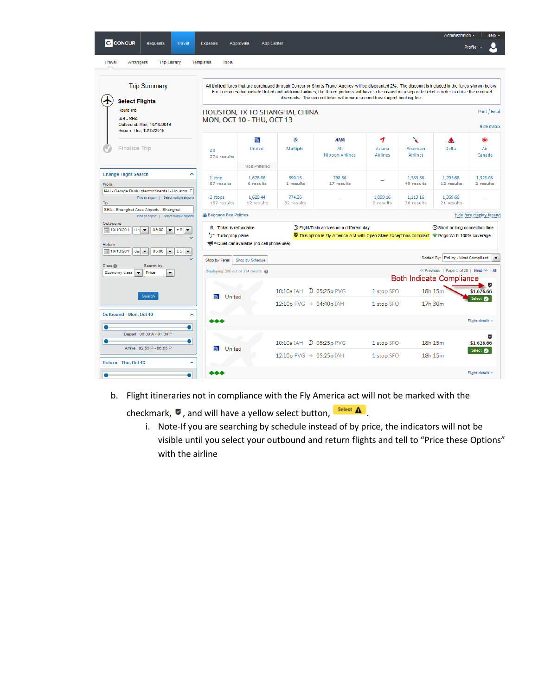| <b>Trip Library</b><br><b>Travel</b><br>Arrangers                                                                                | Templates<br><b>Tools</b>                 |                                            |                                |                                                                                                                                                                                                                                                                                                                                                                                                     |                           |                             |                                             |                                     |
|----------------------------------------------------------------------------------------------------------------------------------|-------------------------------------------|--------------------------------------------|--------------------------------|-----------------------------------------------------------------------------------------------------------------------------------------------------------------------------------------------------------------------------------------------------------------------------------------------------------------------------------------------------------------------------------------------------|---------------------------|-----------------------------|---------------------------------------------|-------------------------------------|
| <b>Trip Summary</b><br><b>Select Flights</b>                                                                                     |                                           |                                            |                                | All United fares that are purchased through Concur or Shorts Travel Agency will be discounted 2%. The discount is included in the fares shown below.<br>For itineraries that include United and additional airlines, the United portions will have to be issued on a separate ticket in order to utilize the contract<br>discounts. The second ticket will incur a second travel agent booking fee. |                           |                             |                                             |                                     |
| Round Trip<br>IAH - SHA<br>Outbound: Mon, 10/10/2016                                                                             | MON, OCT 10 - THU, OCT 13                 |                                            | HOUSTON, TX TO SHANGHAI, CHINA |                                                                                                                                                                                                                                                                                                                                                                                                     |                           |                             |                                             | Print / Email<br><b>Hide matrix</b> |
| Return: Thu, 10/13/2016                                                                                                          |                                           | <b>R</b>                                   | ₩                              | <b>ANA</b>                                                                                                                                                                                                                                                                                                                                                                                          | 1                         | ╲                           | A                                           | $\circledast$                       |
| <b>Finalize Trip</b>                                                                                                             | AII<br>274 results                        | United                                     | Multiple                       | AII<br><b>Nippon Airlines</b>                                                                                                                                                                                                                                                                                                                                                                       | Asiana<br><b>Airlines</b> | American<br><b>Airlines</b> | Delta                                       | Air<br>Canada                       |
|                                                                                                                                  |                                           | Most Preferred                             |                                |                                                                                                                                                                                                                                                                                                                                                                                                     |                           |                             |                                             |                                     |
| <b>Change Flight Search</b><br>∼                                                                                                 | 1 stop<br>87 results                      | 1.626.66<br>6 results                      | 899.16<br>1 results            | 798.56<br>17 results                                                                                                                                                                                                                                                                                                                                                                                |                           | 1.365.66<br>49 results      | 1.295.66<br>12 results                      | 1.328.06<br>2 results               |
| IAH - George Bush Intercontinental - Houston, T.<br>Find an airport   Select multiple airports                                   | 2 stops<br>187 results                    | 1,628.44<br>12 results                     | 774.36<br>82 results           |                                                                                                                                                                                                                                                                                                                                                                                                     | 1,099.16<br>2 results     | 1,113.16<br>70 results      | 1,359.66<br>21 results                      |                                     |
| SHA - Shanghai Area Airports - Shanghai<br>Find an airport   Select multiple airports                                            | <b>III</b> Baggage Fee Policies           |                                            |                                |                                                                                                                                                                                                                                                                                                                                                                                                     |                           |                             |                                             | Hide fare display legend            |
| Outbound<br>图 10/10/201<br>der<br>09:00<br>± 5<br>$\overline{\phantom{0}}$<br>▼<br>$\blacktriangledown$                          | R Ticket is refundable<br>Turboprop plane |                                            |                                | ) Flight/Train arrives on a different day<br>This option is Fly America Act with Open Skies Exceptions compliant SGogo Wi-Fi 100% coverage                                                                                                                                                                                                                                                          |                           |                             | <b>A</b> Short or long connection time      |                                     |
| Return<br>  10/13/201<br>03:00<br>± 5<br>der<br>$\overline{\phantom{a}}$<br>$\overline{\phantom{a}}$<br>$\overline{\phantom{a}}$ |                                           | ** Quiet car available (no cell phone use) |                                |                                                                                                                                                                                                                                                                                                                                                                                                     |                           |                             |                                             |                                     |
|                                                                                                                                  | Shop by Fares                             | Shop by Schedule                           |                                |                                                                                                                                                                                                                                                                                                                                                                                                     |                           |                             | Sorted By: Policy - Most Compliant          |                                     |
| Class <sub>®</sub><br>Search by<br>Economy class<br>Price<br>$\blacktriangledown$<br>$\blacktriangledown$                        | Displaying: 200 out of 274 results.       |                                            |                                |                                                                                                                                                                                                                                                                                                                                                                                                     |                           |                             | << Previous   Page: 1 of 20   Next >>   All |                                     |
|                                                                                                                                  |                                           |                                            |                                |                                                                                                                                                                                                                                                                                                                                                                                                     |                           |                             | <b>Both Indicate Compliance</b>             |                                     |
| Search                                                                                                                           | United<br><b>RA</b>                       |                                            | 10:10a IAH 2 05:25p PVG        |                                                                                                                                                                                                                                                                                                                                                                                                     | 1 stop SFO                | 18h 15m                     |                                             | \$1,626.66                          |
|                                                                                                                                  |                                           |                                            | 12:10p PVG → 04:40p IAH        |                                                                                                                                                                                                                                                                                                                                                                                                     | 1 stop SFO                |                             | 17h 30m                                     | Select @                            |
| Outbound - Mon, Oct 10<br>∼                                                                                                      |                                           |                                            |                                |                                                                                                                                                                                                                                                                                                                                                                                                     |                           |                             |                                             | Flight details $\vee$               |
|                                                                                                                                  |                                           |                                            |                                |                                                                                                                                                                                                                                                                                                                                                                                                     |                           |                             |                                             |                                     |
| Depart 06:30 A - 01:30 P                                                                                                         |                                           |                                            | 10:10a IAH                     | $D$ 05:25p PVG                                                                                                                                                                                                                                                                                                                                                                                      | 1 stop SFO                |                             | 18h 15m                                     | \$1,626.66                          |
| Arrive 02:55 P - 06:55 P                                                                                                         | United<br>へ                               |                                            |                                |                                                                                                                                                                                                                                                                                                                                                                                                     |                           |                             |                                             |                                     |

b. Flight itineraries not in compliance with the Fly America act will not be marked with the

checkmark,  $\bullet$ , and will have a yellow select button,  $\frac{\text{Select } \Lambda}{\text{Set } \text{Set }}$ .

i. Note-If you are searching by schedule instead of by price, the indicators will not be visible until you select your outbound and return flights and tell to "Price these Options" with the airline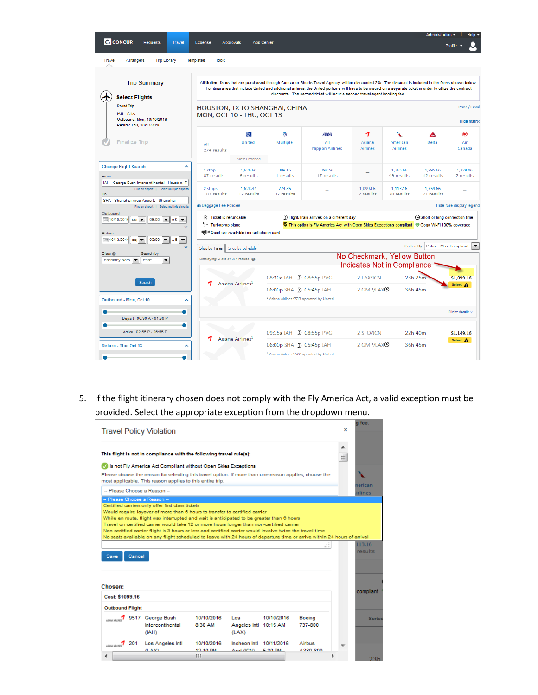|                                                                                                               |                                                                              |                        |                                                      |                                                                                                                                                                                                                                             |                                                            |                             | Administration -                       | Help $\sim$                         |
|---------------------------------------------------------------------------------------------------------------|------------------------------------------------------------------------------|------------------------|------------------------------------------------------|---------------------------------------------------------------------------------------------------------------------------------------------------------------------------------------------------------------------------------------------|------------------------------------------------------------|-----------------------------|----------------------------------------|-------------------------------------|
| <b>C</b> CONCUR<br><b>Requests</b><br>Travel                                                                  | <b>Expense</b><br><b>Approvals</b>                                           | <b>App Center</b>      |                                                      |                                                                                                                                                                                                                                             |                                                            |                             |                                        | Profile +                           |
| <b>Trip Library</b><br>Travel<br>Arrangers                                                                    | <b>Templates</b><br><b>Tools</b>                                             |                        |                                                      |                                                                                                                                                                                                                                             |                                                            |                             |                                        |                                     |
| <b>Trip Summary</b>                                                                                           |                                                                              |                        |                                                      | All United fares that are purchased through Concur or Shorts Travel Agency will be discounted 2%. The discount is included in the fares shown below.                                                                                        |                                                            |                             |                                        |                                     |
| <b>Select Flights</b>                                                                                         |                                                                              |                        |                                                      | For itineraries that include United and additional airlines, the United portions will have to be issued on a separate ticket in order to utilize the contract<br>discounts. The second ticket will incur a second travel agent booking fee. |                                                            |                             |                                        |                                     |
| Round Trip<br>IAH - SHA<br>Outbound: Mon, 10/10/2016                                                          | HOUSTON, TX TO SHANGHAI, CHINA<br>MON, OCT 10 - THU, OCT 13                  |                        |                                                      |                                                                                                                                                                                                                                             |                                                            |                             |                                        | Print / Email<br><b>Hide matrix</b> |
| Return: Thu, 10/13/2016                                                                                       |                                                                              | <b>R</b>               | ₩                                                    | <b>ANA</b>                                                                                                                                                                                                                                  | 1                                                          | x                           | ▴                                      | ⊕                                   |
| <b>Finalize Trip</b>                                                                                          | All<br>274 results                                                           | <b>United</b>          | Multiple                                             | AII<br><b>Nippon Airlines</b>                                                                                                                                                                                                               | Asiana<br><b>Airlines</b>                                  | American<br><b>Airlines</b> | Delta                                  | Air<br>Canada                       |
| ᄉ                                                                                                             |                                                                              | Most Preferred         |                                                      |                                                                                                                                                                                                                                             |                                                            |                             |                                        |                                     |
| <b>Change Flight Search</b><br>From                                                                           | 1 stop<br>87 results                                                         | 1.626.66<br>6 results  | 899.16<br>1 results                                  | 798.56<br>17 results                                                                                                                                                                                                                        |                                                            | 1.365.66<br>49 results      | 1.295.66<br>12 results                 | 1.328.06<br>2 results               |
| IAH - George Bush Intercontinental - Houston, T.<br>Find an airport   Select multiple airports<br>To          | 2 stops<br>187 results                                                       | 1,628.44<br>12 results | 774.36<br>82 results                                 |                                                                                                                                                                                                                                             | 1.099.16<br>2 results                                      | 1.113.16<br>70 results      | 1,359.66<br>21 results                 |                                     |
| SHA - Shanghai Area Airports - Shanghai<br>Find an airport   Select multiple airports                         | <b>Ill</b> Baggage Fee Policies                                              |                        |                                                      |                                                                                                                                                                                                                                             |                                                            |                             |                                        | Hide fare display legend            |
| Outbound<br>der<br>09:00<br>$\overline{\phantom{a}}$<br>± 5                                                   | R Ticket is refundable                                                       |                        |                                                      | D Flight/Train arrives on a different day                                                                                                                                                                                                   |                                                            |                             | <b>O Short or long connection time</b> |                                     |
| Return                                                                                                        | y <sup>-</sup> Turboprop plane<br>** Quiet car available (no cell phone use) |                        |                                                      | This option is Fly America Act with Open Skies Exceptions compliant SGogo Wi-Fi 100% coverage                                                                                                                                               |                                                            |                             |                                        |                                     |
| 10/13/201<br>03:00<br>$de1$ $\blacktriangledown$<br>± 5<br>▼                                                  | Shop by Fares                                                                | Shop by Schedule       |                                                      |                                                                                                                                                                                                                                             |                                                            |                             | Sorted By: Policy - Most Compliant     |                                     |
| Class <sub>®</sub><br>Search by<br>$\overline{\phantom{a}}$<br>Economy class<br>Price<br>$\blacktriangledown$ | Displaying: 2 out of 274 results.                                            |                        |                                                      |                                                                                                                                                                                                                                             | No Checkmark, Yellow Button<br>Indicates Not in Compliance |                             |                                        |                                     |
|                                                                                                               |                                                                              |                        | 08:30a IAH 2 08:55p PVG                              |                                                                                                                                                                                                                                             | 2 LAX/ICN                                                  | 23h 25m                     |                                        | \$1.099.16                          |
| Search                                                                                                        | Asiana Airlines <sup>1</sup>                                                 |                        | 06:00p SHA ) 05:45p IAH                              |                                                                                                                                                                                                                                             | 2 GMP/LAX <sup>O</sup>                                     | 36h 45m                     |                                        | Select A                            |
| Outbound - Mon, Oct 10<br>^                                                                                   |                                                                              |                        | <sup>1</sup> Asiana Airlines 9513 operated by United |                                                                                                                                                                                                                                             |                                                            |                             |                                        |                                     |
| Depart 06:30 A - 01:30 P                                                                                      |                                                                              |                        |                                                      |                                                                                                                                                                                                                                             |                                                            |                             |                                        | Flight details v                    |
| Arrive 02:55 P - 06:55 P                                                                                      |                                                                              |                        | 09:15a IAH                                           | $D$ 08:55p PVG                                                                                                                                                                                                                              | 2 SFO/ICN                                                  |                             | 22h 40m                                | \$1,149.16                          |
| Return - Thu, Oct 13<br>́                                                                                     | Asiana Airlines <sup>1</sup>                                                 |                        | 06:00p SHA ) 05:45p IAH                              |                                                                                                                                                                                                                                             | 2 GMP/LAX <sup>O</sup>                                     |                             | 36h 45m                                | Select A                            |
|                                                                                                               |                                                                              |                        | <sup>1</sup> Asiana Airlines 9522 operated by United |                                                                                                                                                                                                                                             |                                                            |                             |                                        |                                     |

5. If the flight itinerary chosen does not comply with the Fly America Act, a valid exception must be provided. Select the appropriate exception from the dropdown menu.

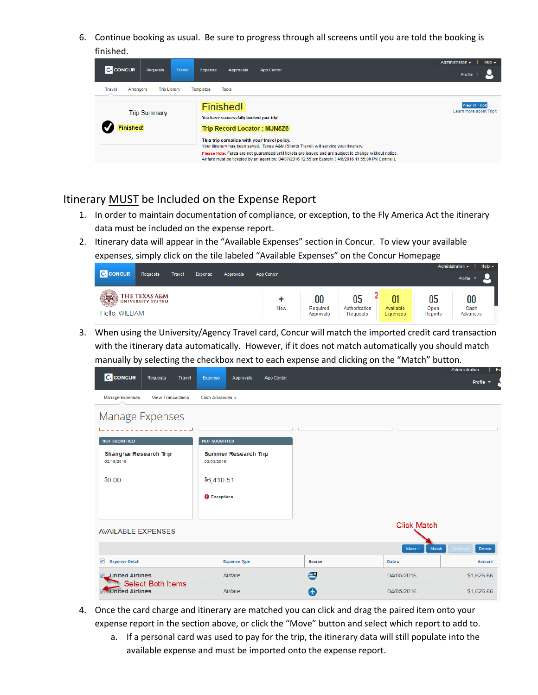6. Continue booking as usual. Be sure to progress through all screens until you are told the booking is finished.



#### Itinerary MUST be Included on the Expense Report

- 1. In order to maintain documentation of compliance, or exception, to the Fly America Act the itinerary data must be included on the expense report.
- 2. Itinerary data will appear in the "Available Expenses" section in Concur. To view your available expenses, simply click on the tile labeled "Available Expenses" on the Concur Homepage

|                                                                                                                                                                     | Administration -<br>Help $\sim$                                                |
|---------------------------------------------------------------------------------------------------------------------------------------------------------------------|--------------------------------------------------------------------------------|
| <b>C</b> CONCUR<br><b>Requests</b><br><b>Travel</b><br><b>Expense</b><br><b>App Center</b><br>Approvals                                                             | Profile -                                                                      |
| $\sqrt{\frac{1}{2}}$<br>THE TEXAS A&M<br>05<br>00<br><b>UNIVERSITY SYSTEM</b><br>Required<br>Authorization<br><b>New</b><br>Hello, WILLIAM<br>Requests<br>Approvals | 01<br>05<br>00<br>Available<br>Cash<br>Open<br>Reports<br>Advances<br>Expenses |

3. When using the University/Agency Travel card, Concur will match the imported credit card transaction with the itinerary data automatically. However, if it does not match automatically you should match manually by selecting the checkbox next to each expense and clicking on the "Match" button.

| <b>C.</b> CONCUR<br>Requests<br><b>Travel</b> | Expense<br>Approvals<br>App Center        |               |                    | Profile -  |
|-----------------------------------------------|-------------------------------------------|---------------|--------------------|------------|
| Manage Expenses<br><b>View Transactions</b>   | Cash Advances -                           |               |                    |            |
| Manage Expenses                               |                                           |               |                    |            |
| <b>NOT SUBMITTED</b>                          | <b>NOT SUBMITTED</b>                      |               |                    |            |
| Shanghai Research Trip<br>02/16/2016          | <b>Summer Research Trip</b><br>02/03/2016 |               |                    |            |
| \$0.00                                        | \$6,410.51                                |               |                    |            |
|                                               | <b>A</b> Exceptions                       |               |                    |            |
| <b>AVAILABLE EXPENSES</b>                     |                                           |               | <b>Click Match</b> |            |
|                                               |                                           |               | Move *<br>Match    | Delete     |
| <b>Expense Detail</b><br>▰                    | <b>Expense Type</b>                       | <b>Source</b> | Date A             | Amount     |
| <b>Julied Airlines</b><br>Select Both Items   | Airfare                                   | උ             | 04/05/2016         | \$1,626.66 |
| <b>D</b> *United Airlines                     | Airfare                                   | ❸             | 04/05/2016         | \$1,626.66 |

- 4. Once the card charge and itinerary are matched you can click and drag the paired item onto your expense report in the section above, or click the "Move" button and select which report to add to.
	- a. If a personal card was used to pay for the trip, the itinerary data will still populate into the available expense and must be imported onto the expense report.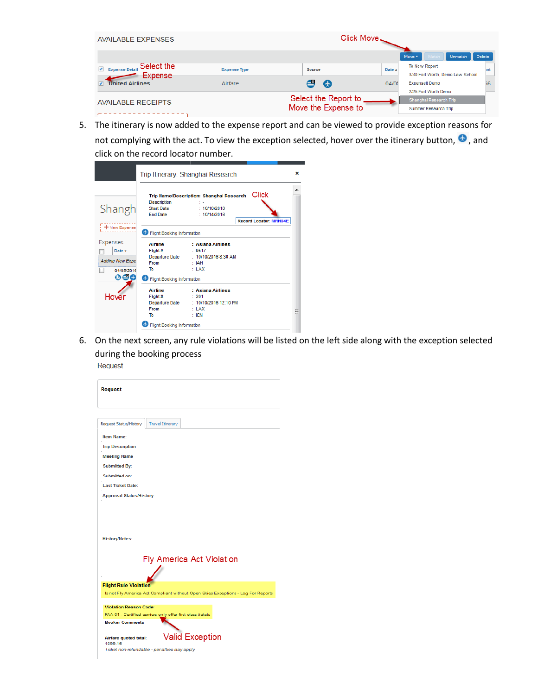| <b>AVAILABLE EXPENSES</b>            |                     | Click Move                                  |        |                                                                        |        |
|--------------------------------------|---------------------|---------------------------------------------|--------|------------------------------------------------------------------------|--------|
|                                      |                     |                                             |        | Move *<br>Unmatch                                                      | Delete |
| Expense Detail Select the<br>Expense | <b>Expense Type</b> | <b>Source</b>                               | Date A | To New Report<br>3/30 Fort Worth, Demo Law School                      | int    |
| <b>United Airlines</b>               | Airfare             | ≃<br>G                                      | 04/0!  | <b>Expenselt Demo</b>                                                  | 56     |
| <b>AVAILABLE RECEIPTS</b>            |                     | Select the Report to<br>Move the Expense to |        | 2/25 Fort Worth Demo<br>Shanghai Research Trip<br>Summer Research Trip |        |
|                                      |                     |                                             |        |                                                                        |        |

5. The itinerary is now added to the expense report and can be viewed to provide exception reasons for not complying with the act. To view the exception selected, hover over the itinerary button,  $\bullet$ , and click on the record locator number.

|                        |                                                            | Trip Itinerary: Shanghai Research                                        |                                        | × |
|------------------------|------------------------------------------------------------|--------------------------------------------------------------------------|----------------------------------------|---|
| Shangh                 | <b>Description</b><br><b>Start Date</b><br><b>End Date</b> | Trip Name/Description: Shanghai Research<br>: 10/10/2016<br>: 10/14/2016 | Click<br><b>Record Locator: MRN04E</b> |   |
| New Expense            | Flight Booking Information                                 |                                                                          |                                        |   |
| Expenses               | <b>Airline</b>                                             | : Asiana Airlines                                                        |                                        |   |
| Date v                 | Flight#                                                    | : 9517                                                                   |                                        |   |
|                        | Departure Date                                             | : $10/10/20168:30$ AM                                                    |                                        |   |
| <b>Adding New Expe</b> | From                                                       | * IAH                                                                    |                                        |   |
| 04/05/2016             | To                                                         | : LAX                                                                    |                                        |   |
| 08Q                    | Flight Booking Information                                 |                                                                          |                                        |   |
|                        | <b>Airline</b>                                             | : Asiana Airlines                                                        |                                        |   |
| Hover                  | Flight#                                                    | : 201                                                                    |                                        |   |
|                        | <b>Departure Date</b>                                      | : 10/10/2016 12:10 PM                                                    |                                        |   |
|                        | From                                                       | : LAX                                                                    |                                        | Ξ |
|                        | To                                                         | $\pm$ ICN                                                                |                                        |   |
|                        | <b>Flight Booking Information</b>                          |                                                                          |                                        |   |

6. On the next screen, any rule violations will be listed on the left side along with the exception selected during the booking process